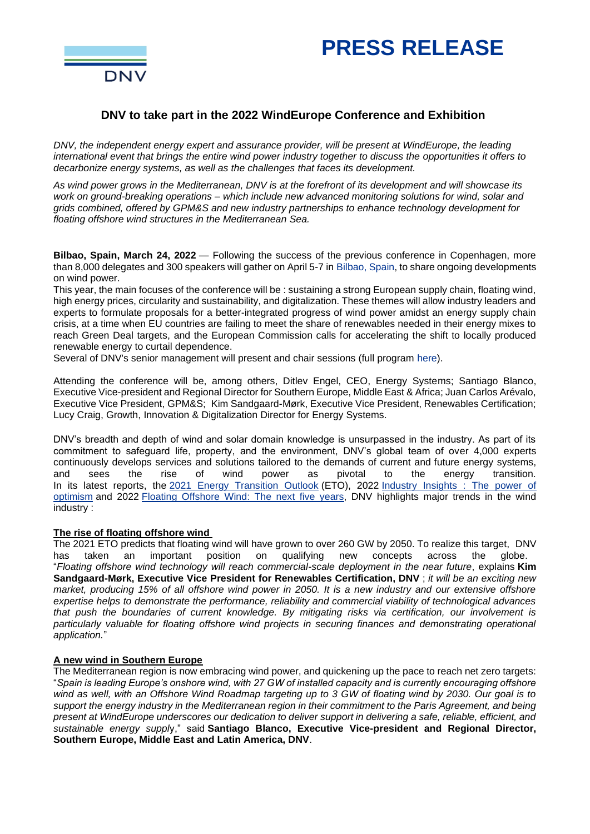# **PRESS RELEASE**



# **DNV to take part in the 2022 WindEurope Conference and Exhibition**

*DNV, the independent energy expert and assurance provider, will be present at WindEurope, the leading international event that brings the entire wind power industry together to discuss the opportunities it offers to decarbonize energy systems, as well as the challenges that faces its development.* 

*As wind power grows in the Mediterranean, DNV is at the forefront of its development and will showcase its work on ground-breaking operations – which include new advanced monitoring solutions for wind, solar and grids combined, offered by GPM&S and new industry partnerships to enhance technology development for floating offshore wind structures in the Mediterranean Sea.* 

**Bilbao, Spain, March 24, 2022** — Following the success of the previous conference in Copenhagen, more than 8,000 delegates and 300 speakers will gather on April 5-7 in Bilbao, Spain, to share ongoing developments on wind power.

This year, the main focuses of the conference will be : sustaining a strong European supply chain, floating wind, high energy prices, circularity and sustainability, and digitalization. These themes will allow industry leaders and experts to formulate proposals for a better-integrated progress of wind power amidst an energy supply chain crisis, at a time when EU countries are failing to meet the share of renewables needed in their energy mixes to reach Green Deal targets, and the European Commission calls for accelerating the shift to locally produced renewable energy to curtail dependence.

Several of DNV's senior management will present and chair sessions (full program here).

Attending the conference will be, among others, Ditlev Engel, CEO, Energy Systems; Santiago Blanco, Executive Vice-president and Regional Director for Southern Europe, Middle East & Africa; Juan Carlos Arévalo, Executive Vice President, GPM&S; Kim Sandgaard-Mørk, Executive Vice President, Renewables Certification; Lucy Craig, Growth, Innovation & Digitalization Director for Energy Systems.

DNV's breadth and depth of wind and solar domain knowledge is unsurpassed in the industry. As part of its commitment to safeguard life, property, and the environment, DNV's global team of over 4,000 experts continuously develops services and solutions tailored to the demands of current and future energy systems, and sees the rise of wind power as pivotal to the energy transition. In its latest reports, the 2021 Energy [Transition](https://eur01.safelinks.protection.outlook.com/?url=http%3A%2F%2Flink.mediaoutreach.meltwater.com%2Fls%2Fclick%3Fupn%3DpjegqKyculL9yFgUfCcgyRygffIUcUoeraewfryvOp26h6qrR33Ej2J-2FUGr9rhfZcsiDjkctNNjbpv23Sy3CyYWR2BcUmBTbgruAgV337fc-3Dl_P4_Y7PFBqc-2F5lVygH9boipxZUtJHPNZGE4m-2BnWGch5VGLgcZguURel2JU-2FjN-2BlMML2HYRAWBb496qWyS-2BUFe674kML3-2B2ThQlx2b-2BYFPofugmerwOLv5-2FkhfXeLHWDLEcbfpi2rrGVkkFmgxbPccKtSM9wWZgZ3ccEUGCROXqdntQCxM-2BHwyXUosU2wcpqP-2FEIpM6Wkc1G8-2BRwt4FdhVwGB4gBz8QQIi8q8uDVcgPBvnBpobvo-2BollDwtuml2jvxTOOiGs8xwypULSLY6Rk3UZiGL9wJsdB5HBbOyJ9a52BGts9VGJ7YiUf1TBw1MspR8ssUMOzTiwA2Wewxl-2BHJ6WE5vtYzKP-2FLUUK8ScGB-2BKPVE2y8GCE6XRWxM5mg6gcwNhb&data=04%7C01%7CPenda.Sall%40dnv.com%7Cdd5d2fff39f74fc7951c08da0ce21ae5%7Cadf10e2bb6e941d6be2fc12bb566019c%7C0%7C0%7C637836462513945388%7CUnknown%7CTWFpbGZsb3d8eyJWIjoiMC4wLjAwMDAiLCJQIjoiV2luMzIiLCJBTiI6Ik1haWwiLCJXVCI6Mn0%3D%7C3000&sdata=uCQNW%2BoxgPz6j%2Fk2rhIRLrj0ukxDU9SE12y0Xwnp0ac%3D&reserved=0) Outlook (ETO), 2022 [Industry](https://eur01.safelinks.protection.outlook.com/?url=http%3A%2F%2Flink.mediaoutreach.meltwater.com%2Fls%2Fclick%3Fupn%3DpjegqKyculL9yFgUfCcgyaXjT2LAexoPiTboYmzdtF4l82VlIOqWRb11G5GYzF-2FgYAX37S2EPn4w8IHIJC-2BXdlcL1kFkI9Gmixpht0zVKG0hDMVdcgfOGrbRQS4OyUBj48Z5_Y7PFBqc-2F5lVygH9boipxZUtJHPNZGE4m-2BnWGch5VGLgcZguURel2JU-2FjN-2BlMML2HYRAWBb496qWyS-2BUFe674kML3-2B2ThQlx2b-2BYFPofugmerwOLv5-2FkhfXeLHWDLEcbfpi2rrGVkkFmgxbPccKtSM9wWZgZ3ccEUGCROXqdntQCxM-2BHwyXUosU2wcpqP-2FEIpM6Wkc1G8-2BRwt4FdhVwGB4qKBzX4EJbwjuYHWCdDki1fhlK3A1JuplgwJpyniDfZ4GRjUTVQ1Hq94ebPe8luKeMoFn-2FQ8zYIYioU6N-2FY8aI33soesjWpajrH5kyeM-2BXkma4Qs8zXPMhWzjDWAfhXc2FbN7MwSMOS7X86upZ-2BhwZlej7moBWHTHIZKiP5WEyI-2F&data=04%7C01%7CPenda.Sall%40dnv.com%7Cdd5d2fff39f74fc7951c08da0ce21ae5%7Cadf10e2bb6e941d6be2fc12bb566019c%7C0%7C0%7C637836462513945388%7CUnknown%7CTWFpbGZsb3d8eyJWIjoiMC4wLjAwMDAiLCJQIjoiV2luMzIiLCJBTiI6Ik1haWwiLCJXVCI6Mn0%3D%7C3000&sdata=QR7Y89xvnKLQry%2Bf8gxZVEMPBwmAyfSWnRU5FY7HKBg%3D&reserved=0) Insights : The power of [optimism](https://eur01.safelinks.protection.outlook.com/?url=http%3A%2F%2Flink.mediaoutreach.meltwater.com%2Fls%2Fclick%3Fupn%3DpjegqKyculL9yFgUfCcgyaXjT2LAexoPiTboYmzdtF4l82VlIOqWRb11G5GYzF-2FgYAX37S2EPn4w8IHIJC-2BXdlcL1kFkI9Gmixpht0zVKG0hDMVdcgfOGrbRQS4OyUBj48Z5_Y7PFBqc-2F5lVygH9boipxZUtJHPNZGE4m-2BnWGch5VGLgcZguURel2JU-2FjN-2BlMML2HYRAWBb496qWyS-2BUFe674kML3-2B2ThQlx2b-2BYFPofugmerwOLv5-2FkhfXeLHWDLEcbfpi2rrGVkkFmgxbPccKtSM9wWZgZ3ccEUGCROXqdntQCxM-2BHwyXUosU2wcpqP-2FEIpM6Wkc1G8-2BRwt4FdhVwGB4qKBzX4EJbwjuYHWCdDki1fhlK3A1JuplgwJpyniDfZ4GRjUTVQ1Hq94ebPe8luKeMoFn-2FQ8zYIYioU6N-2FY8aI33soesjWpajrH5kyeM-2BXkma4Qs8zXPMhWzjDWAfhXc2FbN7MwSMOS7X86upZ-2BhwZlej7moBWHTHIZKiP5WEyI-2F&data=04%7C01%7CPenda.Sall%40dnv.com%7Cdd5d2fff39f74fc7951c08da0ce21ae5%7Cadf10e2bb6e941d6be2fc12bb566019c%7C0%7C0%7C637836462513945388%7CUnknown%7CTWFpbGZsb3d8eyJWIjoiMC4wLjAwMDAiLCJQIjoiV2luMzIiLCJBTiI6Ik1haWwiLCJXVCI6Mn0%3D%7C3000&sdata=QR7Y89xvnKLQry%2Bf8gxZVEMPBwmAyfSWnRU5FY7HKBg%3D&reserved=0) and 2022 Floating [Offshore](https://eur01.safelinks.protection.outlook.com/?url=http%3A%2F%2Flink.mediaoutreach.meltwater.com%2Fls%2Fclick%3Fupn%3DpjegqKyculL9yFgUfCcgyZ-2Fm-2FO5g5DmsLJCL9xA18OGdO84efQ617qtNcfonmkCsOTb3Opqyo9GPLLmxZYmQfMJBHLKpJ43Ac-2Bq6dZYU0oa4EKoivw6oAeeGomsJeo900muDBpGWyyNyL1dvQvmzpQ-3D-3DsUtM_Y7PFBqc-2F5lVygH9boipxZUtJHPNZGE4m-2BnWGch5VGLgcZguURel2JU-2FjN-2BlMML2HYRAWBb496qWyS-2BUFe674kML3-2B2ThQlx2b-2BYFPofugmerwOLv5-2FkhfXeLHWDLEcbfpi2rrGVkkFmgxbPccKtSM9wWZgZ3ccEUGCROXqdntQCxM-2BHwyXUosU2wcpqP-2FEIpM6Wkc1G8-2BRwt4FdhVwGB4ouIzpT0Bl9baKM4LaahONteUzhQcPYBSoapGYSVnFdhj-2F1jop1N67Ykz-2Bu4xDKbDkmnv1eKA44rWeWEJIgrA7Yj7x-2FFseqe4P2kKwXYgR1JQhnvTRcYudvsGn-2B7q5zoS30JK53tD4210USuAE6ameYUGjLP5cjFXlVCO4djc2Yv&data=04%7C01%7CPenda.Sall%40dnv.com%7Cdd5d2fff39f74fc7951c08da0ce21ae5%7Cadf10e2bb6e941d6be2fc12bb566019c%7C0%7C0%7C637836462513945388%7CUnknown%7CTWFpbGZsb3d8eyJWIjoiMC4wLjAwMDAiLCJQIjoiV2luMzIiLCJBTiI6Ik1haWwiLCJXVCI6Mn0%3D%7C3000&sdata=l6lW8UpHJP%2FuoJZeN2q25XAVQ8FCNahTkB4SOfiY6Xk%3D&reserved=0) Wind: The next five years, DNV highlights major trends in the wind industry :

# **The rise of floating offshore wind**

The 2021 ETO predicts that floating wind will have grown to over 260 GW by 2050. To realize this target, DNV has taken an important position on qualifying new concepts across the globe. "*Floating offshore wind technology will reach commercial-scale deployment in the near future*, explains **Kim Sandgaard-Mørk, Executive Vice President for Renewables Certification, DNV** ; *it will be an exciting new market, producing 15% of all offshore wind power in 2050. It is a new industry and our extensive offshore expertise helps to demonstrate the performance, reliability and commercial viability of technological advances that push the boundaries of current knowledge. By mitigating risks via certification, our involvement is particularly valuable for floating offshore wind projects in securing finances and demonstrating operational application.*"

# **A new wind in Southern Europe**

The Mediterranean region is now embracing wind power, and quickening up the pace to reach net zero targets: "*Spain is leading Europe's onshore wind, with 27 GW of installed capacity and is currently encouraging offshore wind as well, with an Offshore Wind Roadmap targeting up to 3 GW of floating wind by 2030. Our goal is to support the energy industry in the Mediterranean region in their commitment to the Paris Agreement, and being present at WindEurope underscores our dedication to deliver support in delivering a safe, reliable, efficient, and sustainable energy suppl*y," said **Santiago Blanco, Executive Vice-president and Regional Director, Southern Europe, Middle East and Latin America, DNV**.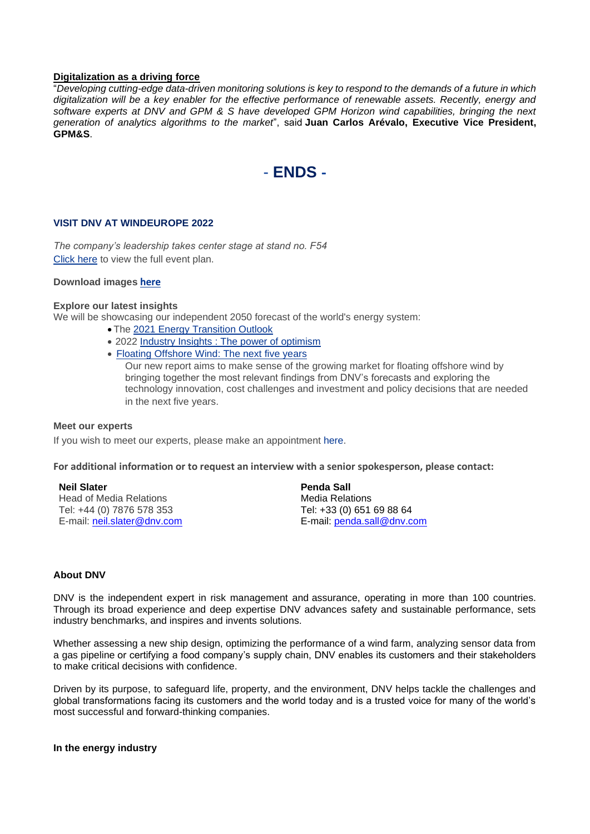## **Digitalization as a driving force**

"*Developing cutting-edge data-driven monitoring solutions is key to respond to the demands of a future in which digitalization will be a key enabler for the effective performance of renewable assets. Recently, energy and software experts at DNV and GPM & S have developed GPM Horizon wind capabilities, bringing the next generation of analytics algorithms to the market*", said **Juan Carlos Arévalo, Executive Vice President, GPM&S**.



## **VISIT DNV AT WINDEUROPE 2022**

*The company's leadership takes center stage at stand no. F54* [Click here](https://eur01.safelinks.protection.outlook.com/?url=http%3A%2F%2Flink.mediaoutreach.meltwater.com%2Fls%2Fclick%3Fupn%3DpjegqKyculL9yFgUfCcgyfrpMGLQimJ-2FqOSYq66TcWmA8feTRyuhqDy5ge2UF-2F16CLKmh7YlTv-2FRu3XidUBHcFeok2AJQCufD6pa2u-2Fvp5qyF3mKeCkrS3wU9npKcsec4LN8TEmi5tORerHq7b-2Fm3Rbpb5RUu8f7kasxrpPMqdbZl-2BRrmg2z7pAN5ZIP54nien2b3LhILOEN6Rbk-2FuOtUcJYcHE8dTtMGjmBCpo3LpZBjWvRkHKS-2BnDfQFfEARWpRUQB_Y7PFBqc-2F5lVygH9boipxZUtJHPNZGE4m-2BnWGch5VGLgcZguURel2JU-2FjN-2BlMML2HYRAWBb496qWyS-2BUFe674kML3-2B2ThQlx2b-2BYFPofugmerwOLv5-2FkhfXeLHWDLEcbfpi2rrGVkkFmgxbPccKtSM9wWZgZ3ccEUGCROXqdntQCxM-2BHwyXUosU2wcpqP-2FEIpM6Wkc1G8-2BRwt4FdhVwGB4lQEg7V1YxPT36WF6MP17Ib5XRLeNPDbHjmf7HX7IDlK1OY9aFqtYjJLD4HcUtTLjDgFLnwjKBo0J-2BppK-2FmosBpfSAuNRrqTY3gQIg5X9A4M9iSvwQh6nZDTlmKdUqddAKczRMMxvEmg0aqt2uszeQmDYVUVTYc3W7ZgfhMNFk-2FY&data=04%7C01%7CPenda.Sall%40dnv.com%7Cdd5d2fff39f74fc7951c08da0ce21ae5%7Cadf10e2bb6e941d6be2fc12bb566019c%7C0%7C0%7C637836462513945388%7CUnknown%7CTWFpbGZsb3d8eyJWIjoiMC4wLjAwMDAiLCJQIjoiV2luMzIiLCJBTiI6Ik1haWwiLCJXVCI6Mn0%3D%7C3000&sdata=ANLy4TAP%2B9i4qcGLaujL%2BsKOK66EBt6d4llvIlA%2Bpz8%3D&reserved=0) to view the full event plan.

#### **Download images [here](https://eur01.safelinks.protection.outlook.com/?url=http%3A%2F%2Flink.mediaoutreach.meltwater.com%2Fls%2Fclick%3Fupn%3DpjegqKyculL9yFgUfCcgyUqKTo8ch4pM-2FtY61A4taoafUPanaS-2Bi7LujYXTBbvRx1r8OUr75YlHTJ0FBvbZX-2Fh-2Fo9AOKcijgBTANDpo-2BeVmmeP0igkFJ-2FiLXrf-2FETN8mnFIm_Y7PFBqc-2F5lVygH9boipxZUtJHPNZGE4m-2BnWGch5VGLgcZguURel2JU-2FjN-2BlMML2HYRAWBb496qWyS-2BUFe674kML3-2B2ThQlx2b-2BYFPofugmerwOLv5-2FkhfXeLHWDLEcbfpi2rrGVkkFmgxbPccKtSM9wWZgZ3ccEUGCROXqdntQCxM-2BHwyXUosU2wcpqP-2FEIpM6Wkc1G8-2BRwt4FdhVwGB4p4fNvVur4l9iKcpOfaG-2B-2BnlPpfsISktzadbclLk-2BS-2Fe1DpBilftMLVfgHmM9yg2UG1wXQmC8DZc9p6bwCqdANrAqTDxJ6abgWV0yCUctUEs7ixEX55GFHfSIdoPP29Vj4XdMc9ylnFdoPTC-2BrDexpAQv4rJy9T1dty0ESi2dkIe&data=04%7C01%7CPenda.Sall%40dnv.com%7Cdd5d2fff39f74fc7951c08da0ce21ae5%7Cadf10e2bb6e941d6be2fc12bb566019c%7C0%7C0%7C637836462513945388%7CUnknown%7CTWFpbGZsb3d8eyJWIjoiMC4wLjAwMDAiLCJQIjoiV2luMzIiLCJBTiI6Ik1haWwiLCJXVCI6Mn0%3D%7C3000&sdata=7GQkHYse3bjw81v%2Fa%2BadzK1o91brxiwcH4X5lQKOT5M%3D&reserved=0)**

### **Explore our latest insights**

We will be showcasing our independent 2050 forecast of the world's energy system:

- The 2021 Energy [Transition](https://eur01.safelinks.protection.outlook.com/?url=http%3A%2F%2Flink.mediaoutreach.meltwater.com%2Fls%2Fclick%3Fupn%3DpjegqKyculL9yFgUfCcgyRygffIUcUoeraewfryvOp26h6qrR33Ej2J-2FUGr9rhfZcsiDjkctNNjbpv23Sy3CyYWR2BcUmBTbgruAgV337fc-3Dl_P4_Y7PFBqc-2F5lVygH9boipxZUtJHPNZGE4m-2BnWGch5VGLgcZguURel2JU-2FjN-2BlMML2HYRAWBb496qWyS-2BUFe674kML3-2B2ThQlx2b-2BYFPofugmerwOLv5-2FkhfXeLHWDLEcbfpi2rrGVkkFmgxbPccKtSM9wWZgZ3ccEUGCROXqdntQCxM-2BHwyXUosU2wcpqP-2FEIpM6Wkc1G8-2BRwt4FdhVwGB4gBz8QQIi8q8uDVcgPBvnBpobvo-2BollDwtuml2jvxTOOiGs8xwypULSLY6Rk3UZiGL9wJsdB5HBbOyJ9a52BGts9VGJ7YiUf1TBw1MspR8ssUMOzTiwA2Wewxl-2BHJ6WE5vtYzKP-2FLUUK8ScGB-2BKPVE2y8GCE6XRWxM5mg6gcwNhb&data=04%7C01%7CPenda.Sall%40dnv.com%7Cdd5d2fff39f74fc7951c08da0ce21ae5%7Cadf10e2bb6e941d6be2fc12bb566019c%7C0%7C0%7C637836462513945388%7CUnknown%7CTWFpbGZsb3d8eyJWIjoiMC4wLjAwMDAiLCJQIjoiV2luMzIiLCJBTiI6Ik1haWwiLCJXVCI6Mn0%3D%7C3000&sdata=uCQNW%2BoxgPz6j%2Fk2rhIRLrj0ukxDU9SE12y0Xwnp0ac%3D&reserved=0) Outlook
- 2022 Industry Insights : The power of [optimism](https://eur01.safelinks.protection.outlook.com/?url=http%3A%2F%2Flink.mediaoutreach.meltwater.com%2Fls%2Fclick%3Fupn%3DpjegqKyculL9yFgUfCcgyaXjT2LAexoPiTboYmzdtF4l82VlIOqWRb11G5GYzF-2FgYAX37S2EPn4w8IHIJC-2BXdlcL1kFkI9Gmixpht0zVKG0hDMVdcgfOGrbRQS4OyUBj48Z5_Y7PFBqc-2F5lVygH9boipxZUtJHPNZGE4m-2BnWGch5VGLgcZguURel2JU-2FjN-2BlMML2HYRAWBb496qWyS-2BUFe674kML3-2B2ThQlx2b-2BYFPofugmerwOLv5-2FkhfXeLHWDLEcbfpi2rrGVkkFmgxbPccKtSM9wWZgZ3ccEUGCROXqdntQCxM-2BHwyXUosU2wcpqP-2FEIpM6Wkc1G8-2BRwt4FdhVwGB4qKBzX4EJbwjuYHWCdDki1fhlK3A1JuplgwJpyniDfZ4GRjUTVQ1Hq94ebPe8luKeMoFn-2FQ8zYIYioU6N-2FY8aI33soesjWpajrH5kyeM-2BXkma4Qs8zXPMhWzjDWAfhXc2FbN7MwSMOS7X86upZ-2BhwZlej7moBWHTHIZKiP5WEyI-2F&data=04%7C01%7CPenda.Sall%40dnv.com%7Cdd5d2fff39f74fc7951c08da0ce21ae5%7Cadf10e2bb6e941d6be2fc12bb566019c%7C0%7C0%7C637836462513945388%7CUnknown%7CTWFpbGZsb3d8eyJWIjoiMC4wLjAwMDAiLCJQIjoiV2luMzIiLCJBTiI6Ik1haWwiLCJXVCI6Mn0%3D%7C3000&sdata=QR7Y89xvnKLQry%2Bf8gxZVEMPBwmAyfSWnRU5FY7HKBg%3D&reserved=0)
- Floating [Offshore](https://eur01.safelinks.protection.outlook.com/?url=http%3A%2F%2Flink.mediaoutreach.meltwater.com%2Fls%2Fclick%3Fupn%3DpjegqKyculL9yFgUfCcgyZ-2Fm-2FO5g5DmsLJCL9xA18OGdO84efQ617qtNcfonmkCsOTb3Opqyo9GPLLmxZYmQfMJBHLKpJ43Ac-2Bq6dZYU0oa4EKoivw6oAeeGomsJeo900muDBpGWyyNyL1dvQvmzpQ-3D-3DsUtM_Y7PFBqc-2F5lVygH9boipxZUtJHPNZGE4m-2BnWGch5VGLgcZguURel2JU-2FjN-2BlMML2HYRAWBb496qWyS-2BUFe674kML3-2B2ThQlx2b-2BYFPofugmerwOLv5-2FkhfXeLHWDLEcbfpi2rrGVkkFmgxbPccKtSM9wWZgZ3ccEUGCROXqdntQCxM-2BHwyXUosU2wcpqP-2FEIpM6Wkc1G8-2BRwt4FdhVwGB4ouIzpT0Bl9baKM4LaahONteUzhQcPYBSoapGYSVnFdhj-2F1jop1N67Ykz-2Bu4xDKbDkmnv1eKA44rWeWEJIgrA7Yj7x-2FFseqe4P2kKwXYgR1JQhnvTRcYudvsGn-2B7q5zoS30JK53tD4210USuAE6ameYUGjLP5cjFXlVCO4djc2Yv&data=04%7C01%7CPenda.Sall%40dnv.com%7Cdd5d2fff39f74fc7951c08da0ce21ae5%7Cadf10e2bb6e941d6be2fc12bb566019c%7C0%7C0%7C637836462513945388%7CUnknown%7CTWFpbGZsb3d8eyJWIjoiMC4wLjAwMDAiLCJQIjoiV2luMzIiLCJBTiI6Ik1haWwiLCJXVCI6Mn0%3D%7C3000&sdata=l6lW8UpHJP%2FuoJZeN2q25XAVQ8FCNahTkB4SOfiY6Xk%3D&reserved=0) Wind: The next five years

Our new report aims to make sense of the growing market for floating offshore wind by bringing together the most relevant findings from DNV's forecasts and exploring the technology innovation, cost challenges and investment and policy decisions that are needed in the next five years.

#### **Meet our experts**

If you wish to meet our experts, please make an appointment [here.](https://eur01.safelinks.protection.outlook.com/?url=http%3A%2F%2Flink.mediaoutreach.meltwater.com%2Fls%2Fclick%3Fupn%3DpjegqKyculL9yFgUfCcgyfrpMGLQimJ-2FqOSYq66TcWmA8feTRyuhqDy5ge2UF-2F16CLKmh7YlTv-2FRu3XidUBHcFeok2AJQCufD6pa2u-2Fvp5qyF3mKeCkrS3wU9npKcsec4LN8TEmi5tORerHq7b-2Fm3Rbpb5RUu8f7kasxrpPMqdbZl-2BRrmg2z7pAN5ZIP54nien2b3LhILOEN6Rbk-2FuOtUcJYcHE8dTtMGjmBCpo3LpZBjWvRkHKS-2BnDfQFfEARWp7xhY_Y7PFBqc-2F5lVygH9boipxZUtJHPNZGE4m-2BnWGch5VGLgcZguURel2JU-2FjN-2BlMML2HYRAWBb496qWyS-2BUFe674kML3-2B2ThQlx2b-2BYFPofugmerwOLv5-2FkhfXeLHWDLEcbfpi2rrGVkkFmgxbPccKtSM9wWZgZ3ccEUGCROXqdntQCxM-2BHwyXUosU2wcpqP-2FEIpM6Wkc1G8-2BRwt4FdhVwGB4s-2BwZRQUb-2Bn3VrJpJwp6WpZpexz6ZWvsDsk9M-2BNlANWzcKqgZfV6oGdaQfuI9NJK-2FXIbmawgkcH22i4wlBAI4xbDee-2FdtvOIDrYXobo1m2ArsaRsIhHAdg56gOmj6kC6iVIWblHo82dR5yfXT5MmFW-2Bh3C7dpmdL4L1Hq6N-2B3sq2&data=04%7C01%7CPenda.Sall%40dnv.com%7Cdd5d2fff39f74fc7951c08da0ce21ae5%7Cadf10e2bb6e941d6be2fc12bb566019c%7C0%7C0%7C637836462513945388%7CUnknown%7CTWFpbGZsb3d8eyJWIjoiMC4wLjAwMDAiLCJQIjoiV2luMzIiLCJBTiI6Ik1haWwiLCJXVCI6Mn0%3D%7C3000&sdata=CI5XRXYSgacwFuz%2BTa%2BzwiHSmOrqSvNa4Gmy8CvIbu0%3D&reserved=0)

**For additional information or to request an interview with a senior spokesperson, please contact:**

# **Neil Slater**

Head of Media Relations Tel: +44 (0) 7876 578 353 E-mail: [neil.slater@dnv.com](mailto:neil.slater@dnv.com)

**Penda Sall** Media Relations Tel: +33 (0) 651 69 88 64 E-mail: [penda.sall@dnv.com](mailto:penda.sall@dnv.com)

## **About DNV**

DNV is the independent expert in risk management and assurance, operating in more than 100 countries. Through its broad experience and deep expertise DNV advances safety and sustainable performance, sets industry benchmarks, and inspires and invents solutions.

Whether assessing a new ship design, optimizing the performance of a wind farm, analyzing sensor data from a gas pipeline or certifying a food company's supply chain, DNV enables its customers and their stakeholders to make critical decisions with confidence.

Driven by its purpose, to safeguard life, property, and the environment, DNV helps tackle the challenges and global transformations facing its customers and the world today and is a trusted voice for many of the world's most successful and forward-thinking companies.

**In the energy industry**